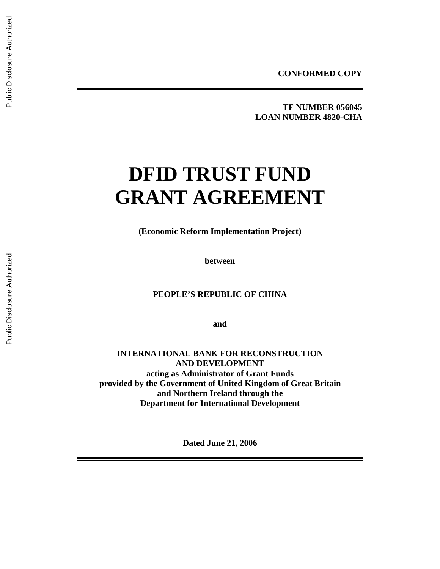**TF NUMBER 056045 LOAN NUMBER 4820-CHA** 

# **DFID TRUST FUND GRANT AGREEMENT**

**(Economic Reform Implementation Project)** 

**between** 

**PEOPLE'S REPUBLIC OF CHINA** 

**and** 

**INTERNATIONAL BANK FOR RECONSTRUCTION AND DEVELOPMENT acting as Administrator of Grant Funds provided by the Government of United Kingdom of Great Britain and Northern Ireland through the Department for International Development** 

**Dated June 21, 2006**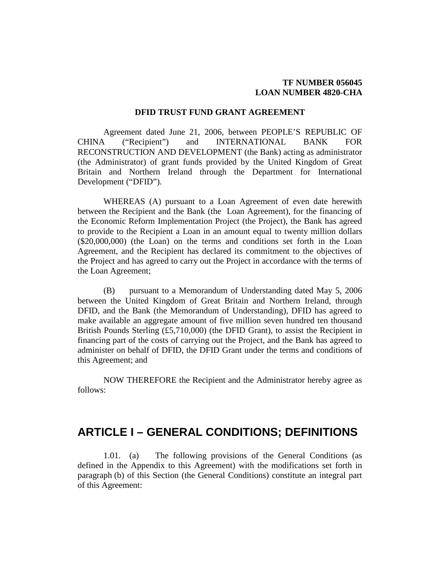#### **TF NUMBER 056045 LOAN NUMBER 4820-CHA**

#### **DFID TRUST FUND GRANT AGREEMENT**

Agreement dated June 21, 2006, between PEOPLE'S REPUBLIC OF CHINA ("Recipient") and INTERNATIONAL BANK FOR RECONSTRUCTION AND DEVELOPMENT (the Bank) acting as administrator (the Administrator) of grant funds provided by the United Kingdom of Great Britain and Northern Ireland through the Department for International Development ("DFID").

WHEREAS (A) pursuant to a Loan Agreement of even date herewith between the Recipient and the Bank (the Loan Agreement), for the financing of the Economic Reform Implementation Project (the Project), the Bank has agreed to provide to the Recipient a Loan in an amount equal to twenty million dollars (\$20,000,000) (the Loan) on the terms and conditions set forth in the Loan Agreement, and the Recipient has declared its commitment to the objectives of the Project and has agreed to carry out the Project in accordance with the terms of the Loan Agreement;

(B) pursuant to a Memorandum of Understanding dated May 5, 2006 between the United Kingdom of Great Britain and Northern Ireland, through DFID, and the Bank (the Memorandum of Understanding), DFID has agreed to make available an aggregate amount of five million seven hundred ten thousand British Pounds Sterling (£5,710,000) (the DFID Grant), to assist the Recipient in financing part of the costs of carrying out the Project, and the Bank has agreed to administer on behalf of DFID, the DFID Grant under the terms and conditions of this Agreement; and

NOW THEREFORE the Recipient and the Administrator hereby agree as follows:

## **ARTICLE I – GENERAL CONDITIONS; DEFINITIONS**

1.01. (a) The following provisions of the General Conditions (as defined in the Appendix to this Agreement) with the modifications set forth in paragraph (b) of this Section (the General Conditions) constitute an integral part of this Agreement: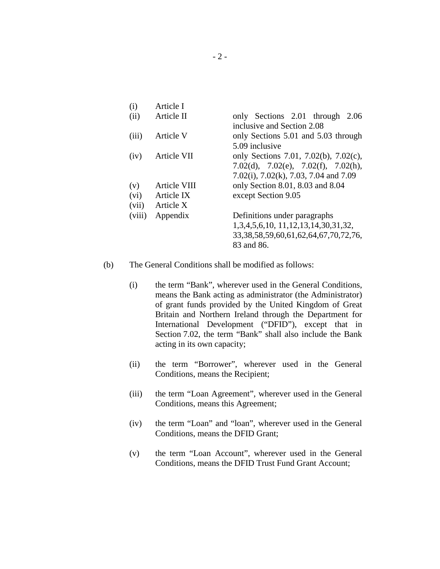| Article I    |                                                                                                                       |
|--------------|-----------------------------------------------------------------------------------------------------------------------|
| Article II   | only Sections 2.01 through 2.06<br>inclusive and Section 2.08                                                         |
| Article V    | only Sections 5.01 and 5.03 through<br>5.09 inclusive                                                                 |
| Article VII  | only Sections 7.01, 7.02(b), 7.02(c),<br>7.02(d), 7.02(e), 7.02(f), 7.02(h),<br>7.02(i), 7.02(k), 7.03, 7.04 and 7.09 |
| Article VIII | only Section 8.01, 8.03 and 8.04                                                                                      |
| Article IX   | except Section 9.05                                                                                                   |
| Article X    |                                                                                                                       |
| Appendix     | Definitions under paragraphs                                                                                          |
|              | 1,3,4,5,6,10, 11,12,13,14,30,31,32,                                                                                   |
|              | 33, 38, 58, 59, 60, 61, 62, 64, 67, 70, 72, 76,                                                                       |
|              | 83 and 86.                                                                                                            |
|              |                                                                                                                       |

- (b) The General Conditions shall be modified as follows:
	- (i) the term "Bank", wherever used in the General Conditions, means the Bank acting as administrator (the Administrator) of grant funds provided by the United Kingdom of Great Britain and Northern Ireland through the Department for International Development ("DFID"), except that in Section 7.02, the term "Bank" shall also include the Bank acting in its own capacity;
	- (ii) the term "Borrower", wherever used in the General Conditions, means the Recipient;
	- (iii) the term "Loan Agreement", wherever used in the General Conditions, means this Agreement;
	- (iv) the term "Loan" and "loan", wherever used in the General Conditions, means the DFID Grant;
	- (v) the term "Loan Account", wherever used in the General Conditions, means the DFID Trust Fund Grant Account;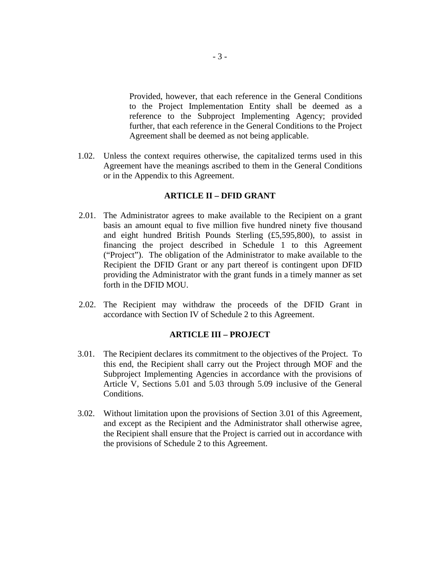Provided, however, that each reference in the General Conditions to the Project Implementation Entity shall be deemed as a reference to the Subproject Implementing Agency; provided further, that each reference in the General Conditions to the Project Agreement shall be deemed as not being applicable.

1.02. Unless the context requires otherwise, the capitalized terms used in this Agreement have the meanings ascribed to them in the General Conditions or in the Appendix to this Agreement.

#### **ARTICLE II – DFID GRANT**

- 2.01. The Administrator agrees to make available to the Recipient on a grant basis an amount equal to five million five hundred ninety five thousand and eight hundred British Pounds Sterling (£5,595,800), to assist in financing the project described in Schedule 1 to this Agreement ("Project"). The obligation of the Administrator to make available to the Recipient the DFID Grant or any part thereof is contingent upon DFID providing the Administrator with the grant funds in a timely manner as set forth in the DFID MOU.
- 2.02. The Recipient may withdraw the proceeds of the DFID Grant in accordance with Section IV of Schedule 2 to this Agreement.

#### **ARTICLE III – PROJECT**

- 3.01. The Recipient declares its commitment to the objectives of the Project. To this end, the Recipient shall carry out the Project through MOF and the Subproject Implementing Agencies in accordance with the provisions of Article V, Sections 5.01 and 5.03 through 5.09 inclusive of the General Conditions.
- 3.02. Without limitation upon the provisions of Section 3.01 of this Agreement, and except as the Recipient and the Administrator shall otherwise agree, the Recipient shall ensure that the Project is carried out in accordance with the provisions of Schedule 2 to this Agreement.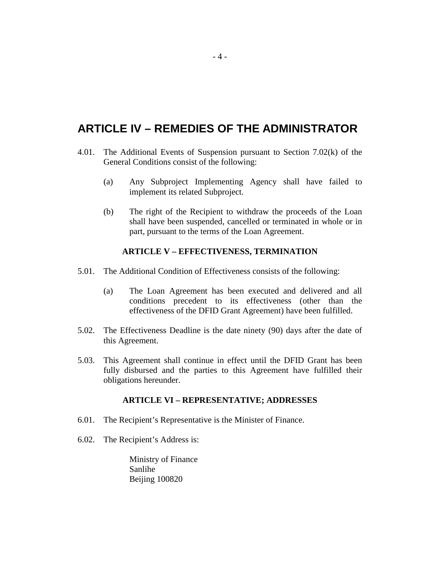# **ARTICLE IV – REMEDIES OF THE ADMINISTRATOR**

- 4.01. The Additional Events of Suspension pursuant to Section 7.02(k) of the General Conditions consist of the following:
	- (a) Any Subproject Implementing Agency shall have failed to implement its related Subproject.
	- (b) The right of the Recipient to withdraw the proceeds of the Loan shall have been suspended, cancelled or terminated in whole or in part, pursuant to the terms of the Loan Agreement.

#### **ARTICLE V – EFFECTIVENESS, TERMINATION**

- 5.01. The Additional Condition of Effectiveness consists of the following:
	- (a) The Loan Agreement has been executed and delivered and all conditions precedent to its effectiveness (other than the effectiveness of the DFID Grant Agreement) have been fulfilled.
- 5.02. The Effectiveness Deadline is the date ninety (90) days after the date of this Agreement.
- 5.03. This Agreement shall continue in effect until the DFID Grant has been fully disbursed and the parties to this Agreement have fulfilled their obligations hereunder.

#### **ARTICLE VI – REPRESENTATIVE; ADDRESSES**

- 6.01. The Recipient's Representative is the Minister of Finance.
- 6.02. The Recipient's Address is:

Ministry of Finance Sanlihe Beijing 100820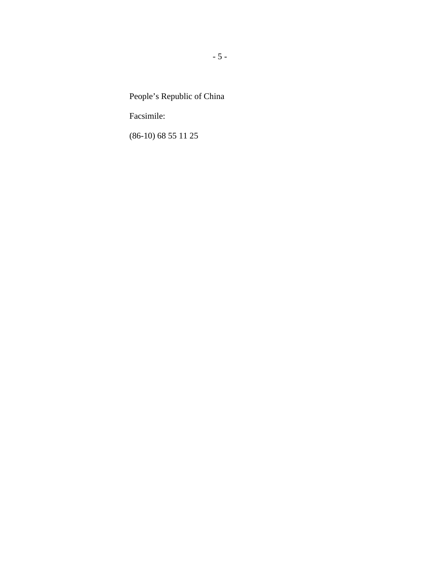People's Republic of China

Facsimile:

(86-10) 68 55 11 25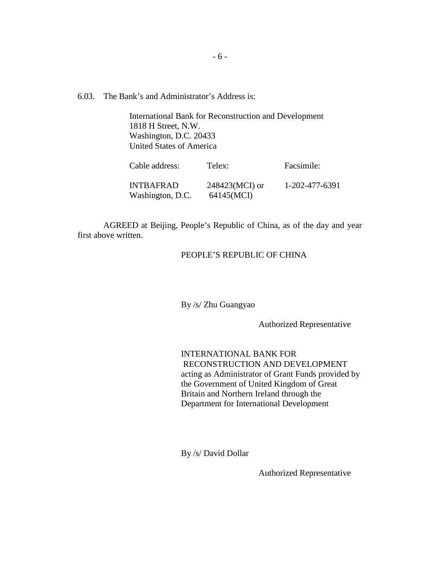6.03. The Bank's and Administrator's Address is:

International Bank for Reconstruction and Development 1818 H Street, N.W. Washington, D.C. 20433 United States of America

| Cable address:                | Telex:                       | Facsimile:     |
|-------------------------------|------------------------------|----------------|
| INTBAFRAD<br>Washington, D.C. | 248423(MCI) or<br>64145(MCI) | 1-202-477-6391 |

AGREED at Beijing, People's Republic of China, as of the day and year first above written.

## PEOPLE'S REPUBLIC OF CHINA

By /s/ Zhu Guangyao

Authorized Representative

INTERNATIONAL BANK FOR RECONSTRUCTION AND DEVELOPMENT acting as Administrator of Grant Funds provided by the Government of United Kingdom of Great Britain and Northern Ireland through the Department for International Development

By /s/ David Dollar

Authorized Representative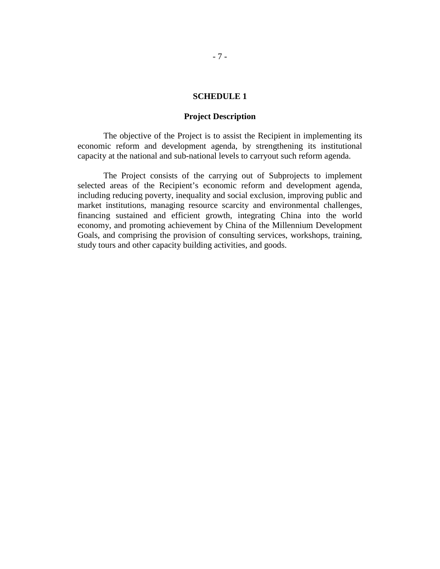#### **SCHEDULE 1**

#### **Project Description**

The objective of the Project is to assist the Recipient in implementing its economic reform and development agenda, by strengthening its institutional capacity at the national and sub-national levels to carryout such reform agenda.

The Project consists of the carrying out of Subprojects to implement selected areas of the Recipient's economic reform and development agenda, including reducing poverty, inequality and social exclusion, improving public and market institutions, managing resource scarcity and environmental challenges, financing sustained and efficient growth, integrating China into the world economy, and promoting achievement by China of the Millennium Development Goals, and comprising the provision of consulting services, workshops, training, study tours and other capacity building activities, and goods.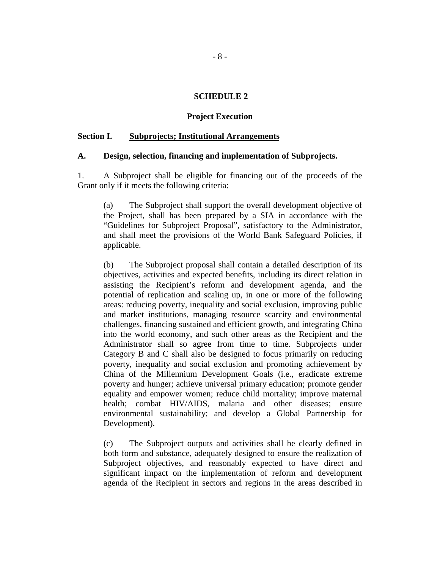#### **SCHEDULE 2**

#### **Project Execution**

#### **Section I. Subprojects; Institutional Arrangements**

#### **A. Design, selection, financing and implementation of Subprojects.**

1. A Subproject shall be eligible for financing out of the proceeds of the Grant only if it meets the following criteria:

(a) The Subproject shall support the overall development objective of the Project, shall has been prepared by a SIA in accordance with the "Guidelines for Subproject Proposal", satisfactory to the Administrator, and shall meet the provisions of the World Bank Safeguard Policies, if applicable.

(b) The Subproject proposal shall contain a detailed description of its objectives, activities and expected benefits, including its direct relation in assisting the Recipient's reform and development agenda, and the potential of replication and scaling up, in one or more of the following areas: reducing poverty, inequality and social exclusion, improving public and market institutions, managing resource scarcity and environmental challenges, financing sustained and efficient growth, and integrating China into the world economy, and such other areas as the Recipient and the Administrator shall so agree from time to time. Subprojects under Category B and C shall also be designed to focus primarily on reducing poverty, inequality and social exclusion and promoting achievement by China of the Millennium Development Goals (i.e., eradicate extreme poverty and hunger; achieve universal primary education; promote gender equality and empower women; reduce child mortality; improve maternal health; combat HIV/AIDS, malaria and other diseases; ensure environmental sustainability; and develop a Global Partnership for Development).

(c) The Subproject outputs and activities shall be clearly defined in both form and substance, adequately designed to ensure the realization of Subproject objectives, and reasonably expected to have direct and significant impact on the implementation of reform and development agenda of the Recipient in sectors and regions in the areas described in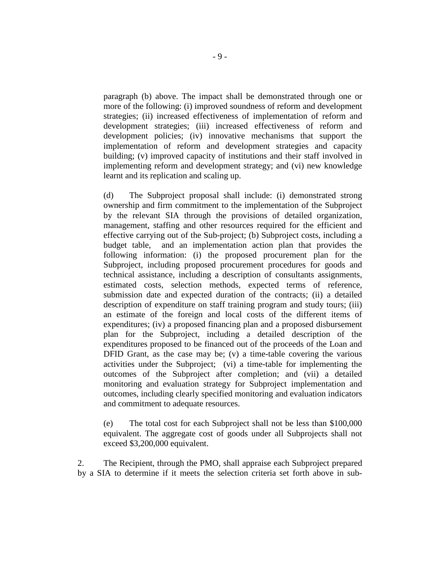paragraph (b) above. The impact shall be demonstrated through one or more of the following: (i) improved soundness of reform and development strategies; (ii) increased effectiveness of implementation of reform and development strategies; (iii) increased effectiveness of reform and development policies; (iv) innovative mechanisms that support the implementation of reform and development strategies and capacity building; (v) improved capacity of institutions and their staff involved in implementing reform and development strategy; and (vi) new knowledge learnt and its replication and scaling up.

(d) The Subproject proposal shall include: (i) demonstrated strong ownership and firm commitment to the implementation of the Subproject by the relevant SIA through the provisions of detailed organization, management, staffing and other resources required for the efficient and effective carrying out of the Sub-project; (b) Subproject costs, including a budget table, and an implementation action plan that provides the following information: (i) the proposed procurement plan for the Subproject, including proposed procurement procedures for goods and technical assistance, including a description of consultants assignments, estimated costs, selection methods, expected terms of reference, submission date and expected duration of the contracts; (ii) a detailed description of expenditure on staff training program and study tours; (iii) an estimate of the foreign and local costs of the different items of expenditures; (iv) a proposed financing plan and a proposed disbursement plan for the Subproject, including a detailed description of the expenditures proposed to be financed out of the proceeds of the Loan and DFID Grant, as the case may be; (v) a time-table covering the various activities under the Subproject; (vi) a time-table for implementing the outcomes of the Subproject after completion; and (vii) a detailed monitoring and evaluation strategy for Subproject implementation and outcomes, including clearly specified monitoring and evaluation indicators and commitment to adequate resources.

(e) The total cost for each Subproject shall not be less than \$100,000 equivalent. The aggregate cost of goods under all Subprojects shall not exceed \$3,200,000 equivalent.

2. The Recipient, through the PMO, shall appraise each Subproject prepared by a SIA to determine if it meets the selection criteria set forth above in sub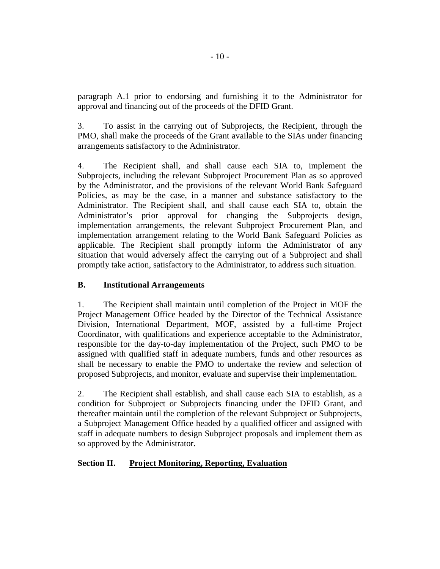paragraph A.1 prior to endorsing and furnishing it to the Administrator for approval and financing out of the proceeds of the DFID Grant.

3. To assist in the carrying out of Subprojects, the Recipient, through the PMO, shall make the proceeds of the Grant available to the SIAs under financing arrangements satisfactory to the Administrator.

4. The Recipient shall, and shall cause each SIA to, implement the Subprojects, including the relevant Subproject Procurement Plan as so approved by the Administrator, and the provisions of the relevant World Bank Safeguard Policies, as may be the case, in a manner and substance satisfactory to the Administrator. The Recipient shall, and shall cause each SIA to, obtain the Administrator's prior approval for changing the Subprojects design, implementation arrangements, the relevant Subproject Procurement Plan, and implementation arrangement relating to the World Bank Safeguard Policies as applicable. The Recipient shall promptly inform the Administrator of any situation that would adversely affect the carrying out of a Subproject and shall promptly take action, satisfactory to the Administrator, to address such situation.

## **B. Institutional Arrangements**

1. The Recipient shall maintain until completion of the Project in MOF the Project Management Office headed by the Director of the Technical Assistance Division, International Department, MOF, assisted by a full-time Project Coordinator, with qualifications and experience acceptable to the Administrator, responsible for the day-to-day implementation of the Project, such PMO to be assigned with qualified staff in adequate numbers, funds and other resources as shall be necessary to enable the PMO to undertake the review and selection of proposed Subprojects, and monitor, evaluate and supervise their implementation.

2. The Recipient shall establish, and shall cause each SIA to establish, as a condition for Subproject or Subprojects financing under the DFID Grant, and thereafter maintain until the completion of the relevant Subproject or Subprojects, a Subproject Management Office headed by a qualified officer and assigned with staff in adequate numbers to design Subproject proposals and implement them as so approved by the Administrator.

## **Section II. Project Monitoring, Reporting, Evaluation**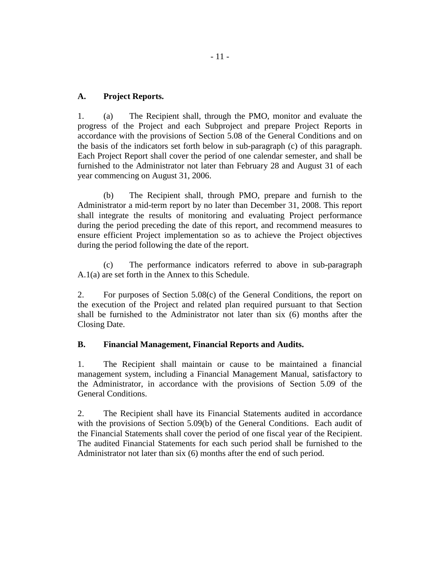## **A. Project Reports.**

1. (a) The Recipient shall, through the PMO, monitor and evaluate the progress of the Project and each Subproject and prepare Project Reports in accordance with the provisions of Section 5.08 of the General Conditions and on the basis of the indicators set forth below in sub-paragraph (c) of this paragraph. Each Project Report shall cover the period of one calendar semester, and shall be furnished to the Administrator not later than February 28 and August 31 of each year commencing on August 31, 2006.

(b) The Recipient shall, through PMO, prepare and furnish to the Administrator a mid-term report by no later than December 31, 2008. This report shall integrate the results of monitoring and evaluating Project performance during the period preceding the date of this report, and recommend measures to ensure efficient Project implementation so as to achieve the Project objectives during the period following the date of the report.

(c) The performance indicators referred to above in sub-paragraph A.1(a) are set forth in the Annex to this Schedule.

2. For purposes of Section 5.08(c) of the General Conditions, the report on the execution of the Project and related plan required pursuant to that Section shall be furnished to the Administrator not later than six (6) months after the Closing Date.

## **B. Financial Management, Financial Reports and Audits.**

1. The Recipient shall maintain or cause to be maintained a financial management system, including a Financial Management Manual, satisfactory to the Administrator, in accordance with the provisions of Section 5.09 of the General Conditions.

2. The Recipient shall have its Financial Statements audited in accordance with the provisions of Section 5.09(b) of the General Conditions. Each audit of the Financial Statements shall cover the period of one fiscal year of the Recipient. The audited Financial Statements for each such period shall be furnished to the Administrator not later than six (6) months after the end of such period.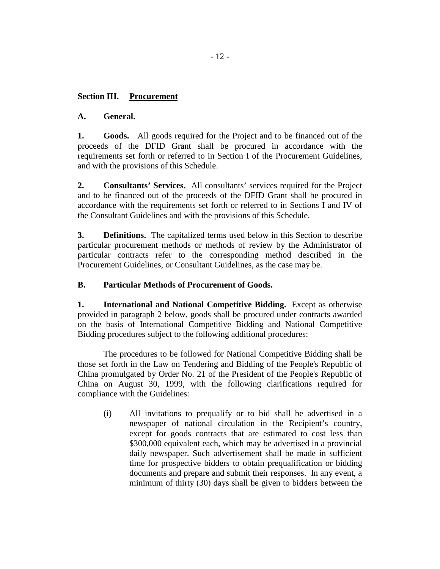## **Section III. Procurement**

## **A. General.**

**1. Goods.** All goods required for the Project and to be financed out of the proceeds of the DFID Grant shall be procured in accordance with the requirements set forth or referred to in Section I of the Procurement Guidelines, and with the provisions of this Schedule.

**2. Consultants' Services.** All consultants' services required for the Project and to be financed out of the proceeds of the DFID Grant shall be procured in accordance with the requirements set forth or referred to in Sections I and IV of the Consultant Guidelines and with the provisions of this Schedule.

**3. Definitions.** The capitalized terms used below in this Section to describe particular procurement methods or methods of review by the Administrator of particular contracts refer to the corresponding method described in the Procurement Guidelines, or Consultant Guidelines, as the case may be.

## **B. Particular Methods of Procurement of Goods.**

**1. International and National Competitive Bidding.** Except as otherwise provided in paragraph 2 below, goods shall be procured under contracts awarded on the basis of International Competitive Bidding and National Competitive Bidding procedures subject to the following additional procedures:

The procedures to be followed for National Competitive Bidding shall be those set forth in the Law on Tendering and Bidding of the People's Republic of China promulgated by Order No. 21 of the President of the People's Republic of China on August 30, 1999, with the following clarifications required for compliance with the Guidelines:

(i) All invitations to prequalify or to bid shall be advertised in a newspaper of national circulation in the Recipient's country, except for goods contracts that are estimated to cost less than \$300,000 equivalent each, which may be advertised in a provincial daily newspaper. Such advertisement shall be made in sufficient time for prospective bidders to obtain prequalification or bidding documents and prepare and submit their responses. In any event, a minimum of thirty (30) days shall be given to bidders between the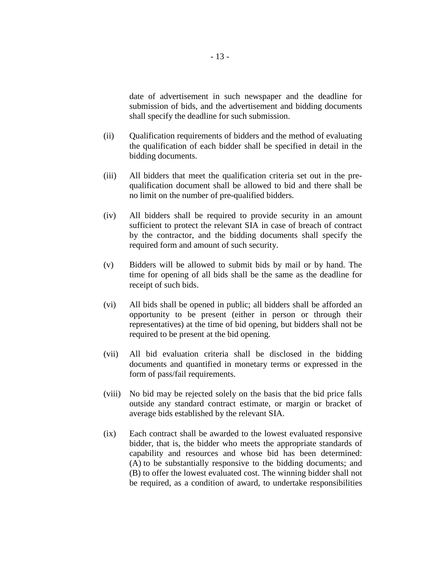date of advertisement in such newspaper and the deadline for submission of bids, and the advertisement and bidding documents shall specify the deadline for such submission.

- (ii) Qualification requirements of bidders and the method of evaluating the qualification of each bidder shall be specified in detail in the bidding documents.
- (iii) All bidders that meet the qualification criteria set out in the prequalification document shall be allowed to bid and there shall be no limit on the number of pre-qualified bidders.
- (iv) All bidders shall be required to provide security in an amount sufficient to protect the relevant SIA in case of breach of contract by the contractor, and the bidding documents shall specify the required form and amount of such security.
- (v) Bidders will be allowed to submit bids by mail or by hand. The time for opening of all bids shall be the same as the deadline for receipt of such bids.
- (vi) All bids shall be opened in public; all bidders shall be afforded an opportunity to be present (either in person or through their representatives) at the time of bid opening, but bidders shall not be required to be present at the bid opening.
- (vii) All bid evaluation criteria shall be disclosed in the bidding documents and quantified in monetary terms or expressed in the form of pass/fail requirements.
- (viii) No bid may be rejected solely on the basis that the bid price falls outside any standard contract estimate, or margin or bracket of average bids established by the relevant SIA.
- (ix) Each contract shall be awarded to the lowest evaluated responsive bidder, that is, the bidder who meets the appropriate standards of capability and resources and whose bid has been determined: (A) to be substantially responsive to the bidding documents; and (B) to offer the lowest evaluated cost. The winning bidder shall not be required, as a condition of award, to undertake responsibilities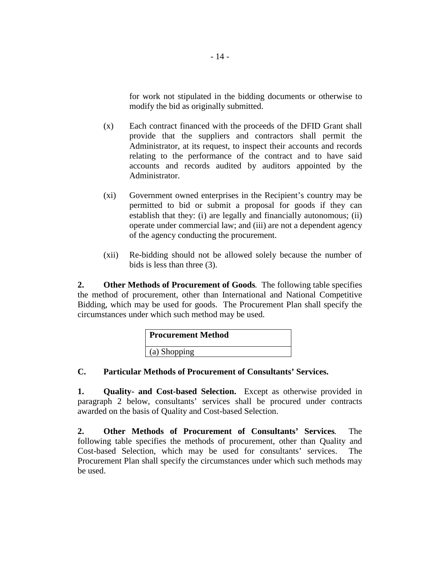for work not stipulated in the bidding documents or otherwise to modify the bid as originally submitted.

- (x) Each contract financed with the proceeds of the DFID Grant shall provide that the suppliers and contractors shall permit the Administrator, at its request, to inspect their accounts and records relating to the performance of the contract and to have said accounts and records audited by auditors appointed by the Administrator.
- (xi) Government owned enterprises in the Recipient's country may be permitted to bid or submit a proposal for goods if they can establish that they: (i) are legally and financially autonomous; (ii) operate under commercial law; and (iii) are not a dependent agency of the agency conducting the procurement.
- (xii) Re-bidding should not be allowed solely because the number of bids is less than three (3).

**2. Other Methods of Procurement of Goods**. The following table specifies the method of procurement, other than International and National Competitive Bidding, which may be used for goods. The Procurement Plan shall specify the circumstances under which such method may be used.

| <b>Procurement Method</b> |
|---------------------------|
| (a) Shopping              |

## **C. Particular Methods of Procurement of Consultants' Services.**

**1. Quality- and Cost-based Selection.** Except as otherwise provided in paragraph 2 below, consultants' services shall be procured under contracts awarded on the basis of Quality and Cost-based Selection.

**2. Other Methods of Procurement of Consultants' Services**. The following table specifies the methods of procurement, other than Quality and Cost-based Selection, which may be used for consultants' services. The Procurement Plan shall specify the circumstances under which such methods may be used.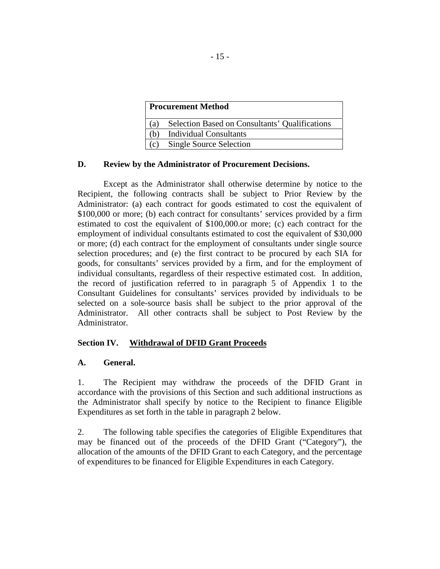| <b>Procurement Method</b> |                                                |  |  |
|---------------------------|------------------------------------------------|--|--|
| (a)                       | Selection Based on Consultants' Qualifications |  |  |
| (h)                       | <b>Individual Consultants</b>                  |  |  |
| (c)                       | <b>Single Source Selection</b>                 |  |  |

## **D. Review by the Administrator of Procurement Decisions.**

Except as the Administrator shall otherwise determine by notice to the Recipient, the following contracts shall be subject to Prior Review by the Administrator: (a) each contract for goods estimated to cost the equivalent of \$100,000 or more; (b) each contract for consultants' services provided by a firm estimated to cost the equivalent of \$100,000.or more; (c) each contract for the employment of individual consultants estimated to cost the equivalent of \$30,000 or more; (d) each contract for the employment of consultants under single source selection procedures; and (e) the first contract to be procured by each SIA for goods, for consultants' services provided by a firm, and for the employment of individual consultants, regardless of their respective estimated cost. In addition, the record of justification referred to in paragraph 5 of Appendix 1 to the Consultant Guidelines for consultants' services provided by individuals to be selected on a sole-source basis shall be subject to the prior approval of the Administrator. All other contracts shall be subject to Post Review by the Administrator.

## **Section IV. Withdrawal of DFID Grant Proceeds**

## **A. General.**

1. The Recipient may withdraw the proceeds of the DFID Grant in accordance with the provisions of this Section and such additional instructions as the Administrator shall specify by notice to the Recipient to finance Eligible Expenditures as set forth in the table in paragraph 2 below.

2. The following table specifies the categories of Eligible Expenditures that may be financed out of the proceeds of the DFID Grant ("Category"), the allocation of the amounts of the DFID Grant to each Category, and the percentage of expenditures to be financed for Eligible Expenditures in each Category.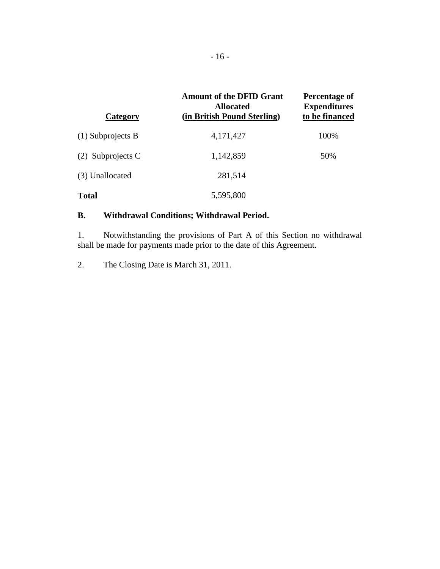| Category            | <b>Amount of the DFID Grant</b><br><b>Allocated</b><br>(in British Pound Sterling) | Percentage of<br><b>Expenditures</b><br>to be financed |
|---------------------|------------------------------------------------------------------------------------|--------------------------------------------------------|
| $(1)$ Subprojects B | 4,171,427                                                                          | 100%                                                   |
| $(2)$ Subprojects C | 1,142,859                                                                          | 50%                                                    |
| (3) Unallocated     | 281,514                                                                            |                                                        |
| <b>Total</b>        | 5,595,800                                                                          |                                                        |

## **B. Withdrawal Conditions; Withdrawal Period.**

1. Notwithstanding the provisions of Part A of this Section no withdrawal shall be made for payments made prior to the date of this Agreement.

2. The Closing Date is March 31, 2011.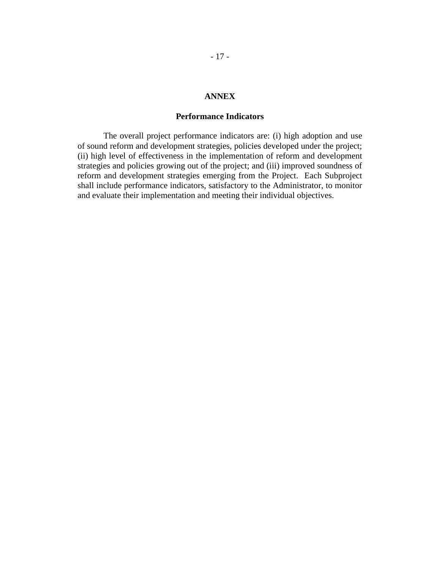## **ANNEX**

#### **Performance Indicators**

The overall project performance indicators are: (i) high adoption and use of sound reform and development strategies, policies developed under the project; (ii) high level of effectiveness in the implementation of reform and development strategies and policies growing out of the project; and (iii) improved soundness of reform and development strategies emerging from the Project. Each Subproject shall include performance indicators, satisfactory to the Administrator, to monitor and evaluate their implementation and meeting their individual objectives.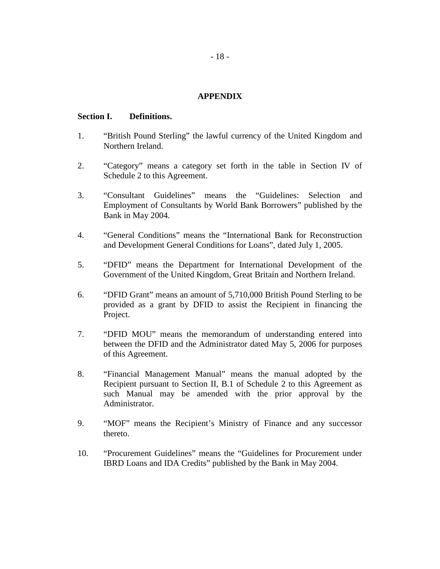### **APPENDIX**

#### **Section I. Definitions.**

- 1. "British Pound Sterling" the lawful currency of the United Kingdom and Northern Ireland.
- 2. "Category" means a category set forth in the table in Section IV of Schedule 2 to this Agreement.
- 3. "Consultant Guidelines" means the "Guidelines: Selection and Employment of Consultants by World Bank Borrowers" published by the Bank in May 2004.
- 4. "General Conditions" means the "International Bank for Reconstruction and Development General Conditions for Loans", dated July 1, 2005.
- 5. "DFID" means the Department for International Development of the Government of the United Kingdom, Great Britain and Northern Ireland.
- 6. "DFID Grant" means an amount of 5,710,000 British Pound Sterling to be provided as a grant by DFID to assist the Recipient in financing the Project.
- 7. "DFID MOU" means the memorandum of understanding entered into between the DFID and the Administrator dated May 5, 2006 for purposes of this Agreement.
- 8. "Financial Management Manual" means the manual adopted by the Recipient pursuant to Section II, B.1 of Schedule 2 to this Agreement as such Manual may be amended with the prior approval by the Administrator.
- 9. "MOF" means the Recipient's Ministry of Finance and any successor thereto.
- 10. "Procurement Guidelines" means the "Guidelines for Procurement under IBRD Loans and IDA Credits" published by the Bank in May 2004.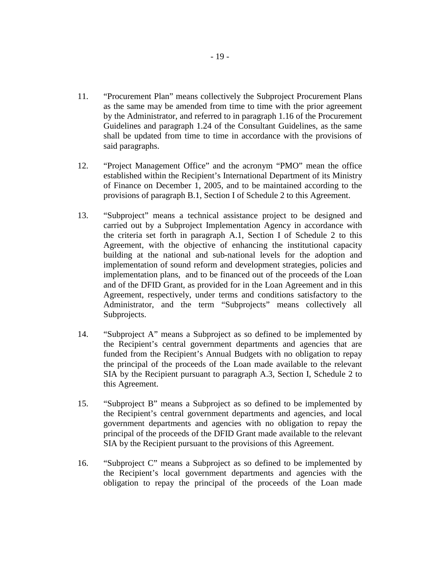- 11. "Procurement Plan" means collectively the Subproject Procurement Plans as the same may be amended from time to time with the prior agreement by the Administrator, and referred to in paragraph 1.16 of the Procurement Guidelines and paragraph 1.24 of the Consultant Guidelines, as the same shall be updated from time to time in accordance with the provisions of said paragraphs.
- 12. "Project Management Office" and the acronym "PMO" mean the office established within the Recipient's International Department of its Ministry of Finance on December 1, 2005, and to be maintained according to the provisions of paragraph B.1, Section I of Schedule 2 to this Agreement.
- 13. "Subproject" means a technical assistance project to be designed and carried out by a Subproject Implementation Agency in accordance with the criteria set forth in paragraph A.1, Section I of Schedule 2 to this Agreement, with the objective of enhancing the institutional capacity building at the national and sub-national levels for the adoption and implementation of sound reform and development strategies, policies and implementation plans, and to be financed out of the proceeds of the Loan and of the DFID Grant, as provided for in the Loan Agreement and in this Agreement, respectively, under terms and conditions satisfactory to the Administrator, and the term "Subprojects" means collectively all Subprojects.
- 14. "Subproject A" means a Subproject as so defined to be implemented by the Recipient's central government departments and agencies that are funded from the Recipient's Annual Budgets with no obligation to repay the principal of the proceeds of the Loan made available to the relevant SIA by the Recipient pursuant to paragraph A.3, Section I, Schedule 2 to this Agreement.
- 15. "Subproject B" means a Subproject as so defined to be implemented by the Recipient's central government departments and agencies, and local government departments and agencies with no obligation to repay the principal of the proceeds of the DFID Grant made available to the relevant SIA by the Recipient pursuant to the provisions of this Agreement.
- 16. "Subproject C" means a Subproject as so defined to be implemented by the Recipient's local government departments and agencies with the obligation to repay the principal of the proceeds of the Loan made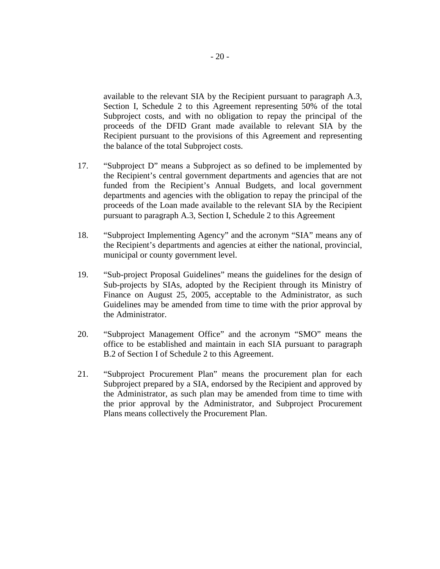available to the relevant SIA by the Recipient pursuant to paragraph A.3, Section I, Schedule 2 to this Agreement representing 50% of the total Subproject costs, and with no obligation to repay the principal of the proceeds of the DFID Grant made available to relevant SIA by the Recipient pursuant to the provisions of this Agreement and representing the balance of the total Subproject costs.

- 17. "Subproject D" means a Subproject as so defined to be implemented by the Recipient's central government departments and agencies that are not funded from the Recipient's Annual Budgets, and local government departments and agencies with the obligation to repay the principal of the proceeds of the Loan made available to the relevant SIA by the Recipient pursuant to paragraph A.3, Section I, Schedule 2 to this Agreement
- 18. "Subproject Implementing Agency" and the acronym "SIA" means any of the Recipient's departments and agencies at either the national, provincial, municipal or county government level.
- 19. "Sub-project Proposal Guidelines" means the guidelines for the design of Sub-projects by SIAs, adopted by the Recipient through its Ministry of Finance on August 25, 2005, acceptable to the Administrator, as such Guidelines may be amended from time to time with the prior approval by the Administrator.
- 20. "Subproject Management Office" and the acronym "SMO" means the office to be established and maintain in each SIA pursuant to paragraph B.2 of Section I of Schedule 2 to this Agreement.
- 21. "Subproject Procurement Plan" means the procurement plan for each Subproject prepared by a SIA, endorsed by the Recipient and approved by the Administrator, as such plan may be amended from time to time with the prior approval by the Administrator, and Subproject Procurement Plans means collectively the Procurement Plan.